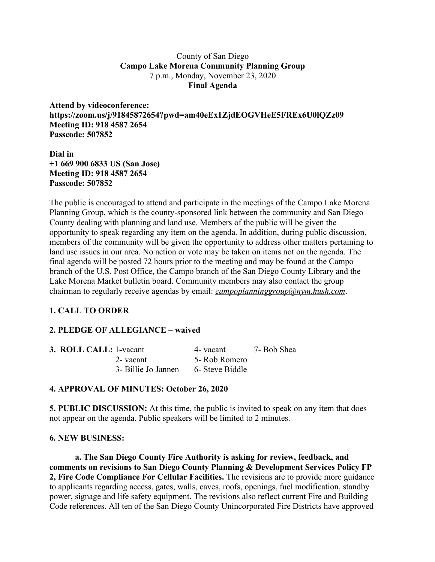### County of San Diego **Campo Lake Morena Community Planning Group** 7 p.m., Monday, November 23, 2020 **Final Agenda**

**Attend by videoconference: https://zoom.us/j/91845872654?pwd=am40eEx1ZjdEOGVHeE5FREx6U0lQZz09 Meeting ID: 918 4587 2654 Passcode: 507852**

**Dial in +1 669 900 6833 US (San Jose) Meeting ID: 918 4587 2654 Passcode: 507852**

The public is encouraged to attend and participate in the meetings of the Campo Lake Morena Planning Group, which is the county-sponsored link between the community and San Diego County dealing with planning and land use. Members of the public will be given the opportunity to speak regarding any item on the agenda. In addition, during public discussion, members of the community will be given the opportunity to address other matters pertaining to land use issues in our area. No action or vote may be taken on items not on the agenda. The final agenda will be posted 72 hours prior to the meeting and may be found at the Campo branch of the U.S. Post Office, the Campo branch of the San Diego County Library and the Lake Morena Market bulletin board. Community members may also contact the group chairman to regularly receive agendas by email: *campoplanninggroup@nym.hush.com*.

# **1. CALL TO ORDER**

# **2. PLEDGE OF ALLEGIANCE – waived**

| 3. ROLL CALL: 1-vacant |                     | 4- vacant       | 7- Bob Shea |
|------------------------|---------------------|-----------------|-------------|
|                        | 2-vacant            | 5- Rob Romero   |             |
|                        | 3- Billie Jo Jannen | 6- Steve Biddle |             |

# **4. APPROVAL OF MINUTES: October 26, 2020**

**5. PUBLIC DISCUSSION:** At this time, the public is invited to speak on any item that does not appear on the agenda. Public speakers will be limited to 2 minutes.

#### **6. NEW BUSINESS:**

**a. The San Diego County Fire Authority is asking for review, feedback, and comments on revisions to San Diego County Planning & Development Services Policy FP 2, Fire Code Compliance For Cellular Facilities.** The revisions are to provide more guidance to applicants regarding access, gates, walls, eaves, roofs, openings, fuel modification, standby power, signage and life safety equipment. The revisions also reflect current Fire and Building Code references. All ten of the San Diego County Unincorporated Fire Districts have approved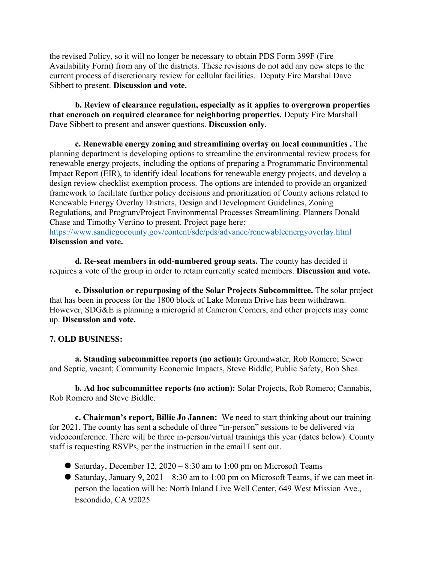the revised Policy, so it will no longer be necessary to obtain PDS Form 399F (Fire Availability Form) from any of the districts. These revisions do not add any new steps to the current process of discretionary review for cellular facilities. Deputy Fire Marshal Dave Sibbett to present. **Discussion and vote.**

**b. Review of clearance regulation, especially as it applies to overgrown properties that encroach on required clearance for neighboring properties.** Deputy Fire Marshall Dave Sibbett to present and answer questions. **Discussion only.**

**c. Renewable energy zoning and streamlining overlay on local communities .** The planning department is developing options to streamline the environmental review process for renewable energy projects, including the options of preparing a Programmatic Environmental Impact Report (EIR), to identify ideal locations for renewable energy projects, and develop a design review checklist exemption process. The options are intended to provide an organized framework to facilitate further policy decisions and prioritization of County actions related to Renewable Energy Overlay Districts, Design and Development Guidelines, Zoning Regulations, and Program/Project Environmental Processes Streamlining. Planners Donald Chase and Timothy Vertino to present. Project page here: https://www.sandiegocounty.gov/content/sdc/pds/advance/renewableenergyoverlay.html

#### **Discussion and vote.**

**d. Re-seat members in odd-numbered group seats.** The county has decided it requires a vote of the group in order to retain currently seated members. **Discussion and vote.**

**e. Dissolution or repurposing of the Solar Projects Subcommittee.** The solar project that has been in process for the 1800 block of Lake Morena Drive has been withdrawn. However, SDG&E is planning a microgrid at Cameron Corners, and other projects may come up. **Discussion and vote.**

# **7. OLD BUSINESS:**

**a. Standing subcommittee reports (no action):** Groundwater, Rob Romero; Sewer and Septic, vacant; Community Economic Impacts, Steve Biddle; Public Safety, Bob Shea.

**b. Ad hoc subcommittee reports (no action):** Solar Projects, Rob Romero; Cannabis, Rob Romero and Steve Biddle.

**c. Chairman's report, Billie Jo Jannen:** We need to start thinking about our training for 2021. The county has sent a schedule of three "in-person" sessions to be delivered via videoconference. There will be three in-person/virtual trainings this year (dates below). County staff is requesting RSVPs, per the instruction in the email I sent out.

- $\bullet$  Saturday, December 12, 2020 8:30 am to 1:00 pm on Microsoft Teams
- Saturday, January 9, 2021 8:30 am to 1:00 pm on Microsoft Teams, if we can meet inperson the location will be: North Inland Live Well Center, 649 West Mission Ave., Escondido, CA 92025